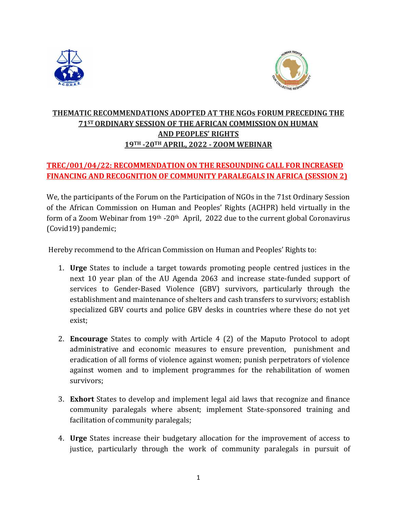



# **THEMATIC RECOMMENDATIONS ADOPTED AT THE NGOs FORUM PRECEDING THE 71ST ORDINARY SESSION OF THE AFRICAN COMMISSION ON HUMAN AND PEOPLES' RIGHTS 19TH -20TH APRIL, 2022 - ZOOM WEBINAR**

# **TREC/001/04/22: RECOMMENDATION ON THE RESOUNDING CALL FOR INCREASED FINANCING AND RECOGNITION OF COMMUNITY PARALEGALS IN AFRICA (SESSION 2)**

We, the participants of the Forum on the Participation of NGOs in the 71st Ordinary Session of the African Commission on Human and Peoples' Rights (ACHPR) held virtually in the form of a Zoom Webinar from 19<sup>th</sup> -20<sup>th</sup> April, 2022 due to the current global Coronavirus (Covid19) pandemic;

Hereby recommend to the African Commission on Human and Peoples' Rights to:

- 1. **Urge** States to include a target towards promoting people centred justices in the next 10 year plan of the AU Agenda 2063 and increase state-funded support of services to Gender-Based Violence (GBV) survivors, particularly through the establishment and maintenance of shelters and cash transfers to survivors; establish specialized GBV courts and police GBV desks in countries where these do not yet exist;
- 2. **Encourage** States to comply with Article 4 (2) of the Maputo Protocol to adopt administrative and economic measures to ensure prevention, punishment and eradication of all forms of violence against women; punish perpetrators of violence against women and to implement programmes for the rehabilitation of women survivors;
- 3. **Exhort** States to develop and implement legal aid laws that recognize and finance community paralegals where absent; implement State-sponsored training and facilitation of community paralegals;
- 4. **Urge** States increase their budgetary allocation for the improvement of access to justice, particularly through the work of community paralegals in pursuit of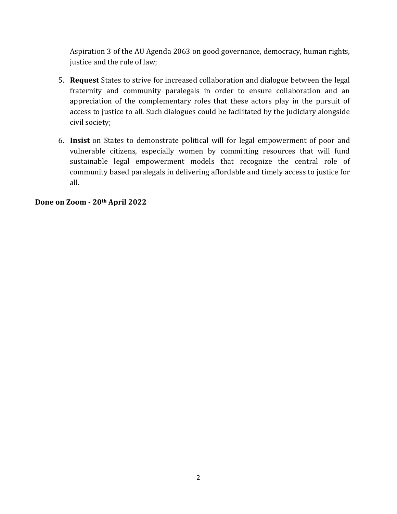Aspiration 3 of the AU Agenda 2063 on good governance, democracy, human rights, justice and the rule of law;

- 5. **Request** States to strive for increased collaboration and dialogue between the legal fraternity and community paralegals in order to ensure collaboration and an appreciation of the complementary roles that these actors play in the pursuit of access to justice to all. Such dialogues could be facilitated by the judiciary alongside civil society;
- 6. **Insist** on States to demonstrate political will for legal empowerment of poor and vulnerable citizens, especially women by committing resources that will fund sustainable legal empowerment models that recognize the central role of community based paralegals in delivering affordable and timely access to justice for all.

#### **Done on Zoom - 20th April 2022**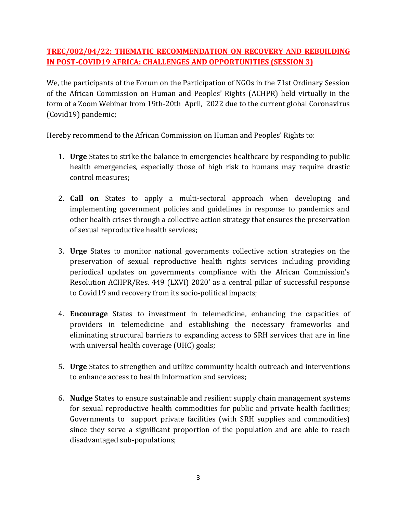### **TREC/002/04/22: THEMATIC RECOMMENDATION ON RECOVERY AND REBUILDING IN POST-COVID19 AFRICA: CHALLENGES AND OPPORTUNITIES (SESSION 3)**

We, the participants of the Forum on the Participation of NGOs in the 71st Ordinary Session of the African Commission on Human and Peoples' Rights (ACHPR) held virtually in the form of a Zoom Webinar from 19th-20th April, 2022 due to the current global Coronavirus (Covid19) pandemic;

Hereby recommend to the African Commission on Human and Peoples' Rights to:

- 1. **Urge** States to strike the balance in emergencies healthcare by responding to public health emergencies, especially those of high risk to humans may require drastic control measures;
- 2. **Call on** States to apply a multi-sectoral approach when developing and implementing government policies and guidelines in response to pandemics and other health crises through a collective action strategy that ensures the preservation of sexual reproductive health services;
- 3. **Urge** States to monitor national governments collective action strategies on the preservation of sexual reproductive health rights services including providing periodical updates on governments compliance with the African Commission's Resolution ACHPR/Res. 449 (LXVI) 2020' as a central pillar of successful response to Covid19 and recovery from its socio-political impacts;
- 4. **Encourage** States to investment in telemedicine, enhancing the capacities of providers in telemedicine and establishing the necessary frameworks and eliminating structural barriers to expanding access to SRH services that are in line with universal health coverage (UHC) goals;
- 5. **Urge** States to strengthen and utilize community health outreach and interventions to enhance access to health information and services;
- 6. **Nudge** States to ensure sustainable and resilient supply chain management systems for sexual reproductive health commodities for public and private health facilities; Governments to support private facilities (with SRH supplies and commodities) since they serve a significant proportion of the population and are able to reach disadvantaged sub-populations;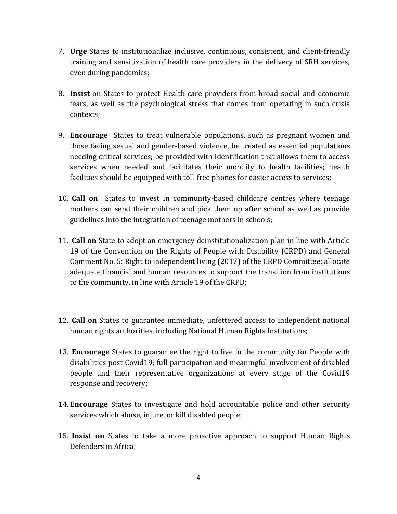- 7. **Urge** States to institutionalize inclusive, continuous, consistent, and client-friendly training and sensitization of health care providers in the delivery of SRH services, even during pandemics;
- 8. **Insist** on States to protect Health care providers from broad social and economic fears, as well as the psychological stress that comes from operating in such crisis contexts;
- 9. **Encourage** States to treat vulnerable populations, such as pregnant women and those facing sexual and gender-based violence, be treated as essential populations needing critical services; be provided with identification that allows them to access services when needed and facilitates their mobility to health facilities; health facilities should be equipped with toll-free phones for easier access to services;
- 10. **Call on** States to invest in community-based childcare centres where teenage mothers can send their children and pick them up after school as well as provide guidelines into the integration of teenage mothers in schools;
- 11. **Call on** State to adopt an emergency deinstitutionalization plan in line with Article 19 of the Convention on the Rights of People with Disability (CRPD) and General Comment No. 5: Right to independent living (2017) of the CRPD Committee; allocate adequate financial and human resources to support the transition from institutions to the community, in line with Article 19 of the CRPD;
- 12. **Call on** States to guarantee immediate, unfettered access to independent national human rights authorities, including National Human Rights Institutions;
- 13. **Encourage** States to guarantee the right to live in the community for People with disabilities post Covid19; full participation and meaningful involvement of disabled people and their representative organizations at every stage of the Covid19 response and recovery;
- 14. **Encourage** States to investigate and hold accountable police and other security services which abuse, injure, or kill disabled people;
- 15. **Insist on** States to take a more proactive approach to support Human Rights Defenders in Africa;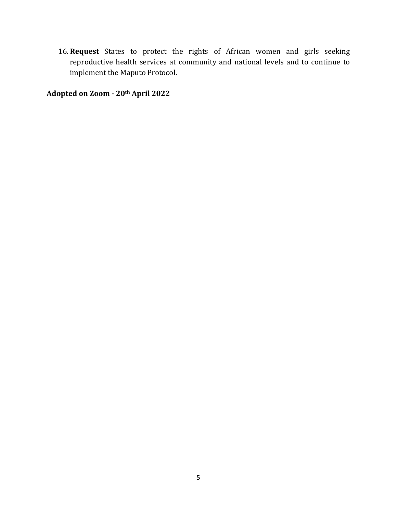16. **Request** States to protect the rights of African women and girls seeking reproductive health services at community and national levels and to continue to implement the Maputo Protocol.

**Adopted on Zoom - 20th April 2022**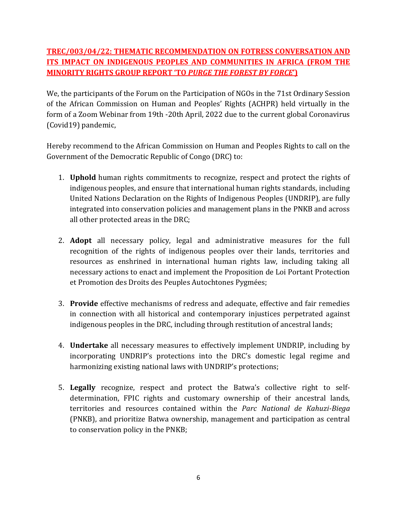### **TREC/003/04/22: THEMATIC RECOMMENDATION ON FOTRESS CONVERSATION AND ITS IMPACT ON INDIGENOUS PEOPLES AND COMMUNITIES IN AFRICA (FROM THE MINORITY RIGHTS GROUP REPORT 'TO** *PURGE THE FOREST BY FORCE***')**

We, the participants of the Forum on the Participation of NGOs in the 71st Ordinary Session of the African Commission on Human and Peoples' Rights (ACHPR) held virtually in the form of a Zoom Webinar from 19th -20th April, 2022 due to the current global Coronavirus (Covid19) pandemic,

Hereby recommend to the African Commission on Human and Peoples Rights to call on the Government of the Democratic Republic of Congo (DRC) to:

- 1. **Uphold** human rights commitments to recognize, respect and protect the rights of indigenous peoples, and ensure that international human rights standards, including United Nations Declaration on the Rights of Indigenous Peoples (UNDRIP), are fully integrated into conservation policies and management plans in the PNKB and across all other protected areas in the DRC;
- 2. **Adopt** all necessary policy, legal and administrative measures for the full recognition of the rights of indigenous peoples over their lands, territories and resources as enshrined in international human rights law, including taking all necessary actions to enact and implement the Proposition de Loi Portant Protection et Promotion des Droits des Peuples Autochtones Pygmées;
- 3. **Provide** effective mechanisms of redress and adequate, effective and fair remedies in connection with all historical and contemporary injustices perpetrated against indigenous peoples in the DRC, including through restitution of ancestral lands;
- 4. **Undertake** all necessary measures to effectively implement UNDRIP, including by incorporating UNDRIP's protections into the DRC's domestic legal regime and harmonizing existing national laws with UNDRIP's protections;
- 5. **Legally** recognize, respect and protect the Batwa's collective right to selfdetermination, FPIC rights and customary ownership of their ancestral lands, territories and resources contained within the *Parc National de Kahuzi-Biega* (PNKB), and prioritize Batwa ownership, management and participation as central to conservation policy in the PNKB;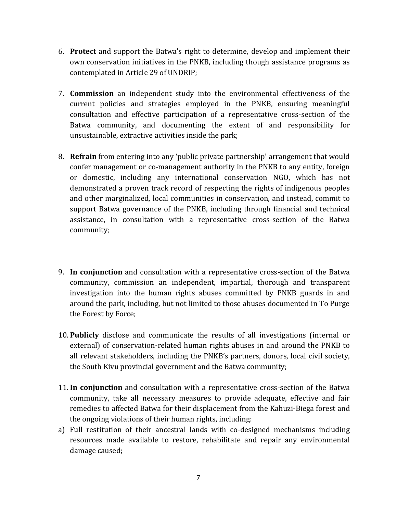- 6. **Protect** and support the Batwa's right to determine, develop and implement their own conservation initiatives in the PNKB, including though assistance programs as contemplated in Article 29 of UNDRIP;
- 7. **Commission** an independent study into the environmental effectiveness of the current policies and strategies employed in the PNKB, ensuring meaningful consultation and effective participation of a representative cross-section of the Batwa community, and documenting the extent of and responsibility for unsustainable, extractive activities inside the park;
- 8. **Refrain** from entering into any 'public private partnership' arrangement that would confer management or co-management authority in the PNKB to any entity, foreign or domestic, including any international conservation NGO, which has not demonstrated a proven track record of respecting the rights of indigenous peoples and other marginalized, local communities in conservation, and instead, commit to support Batwa governance of the PNKB, including through financial and technical assistance, in consultation with a representative cross-section of the Batwa community;
- 9. **In conjunction** and consultation with a representative cross-section of the Batwa community, commission an independent, impartial, thorough and transparent investigation into the human rights abuses committed by PNKB guards in and around the park, including, but not limited to those abuses documented in To Purge the Forest by Force;
- 10. **Publicly** disclose and communicate the results of all investigations (internal or external) of conservation-related human rights abuses in and around the PNKB to all relevant stakeholders, including the PNKB's partners, donors, local civil society, the South Kivu provincial government and the Batwa community;
- 11. **In conjunction** and consultation with a representative cross-section of the Batwa community, take all necessary measures to provide adequate, effective and fair remedies to affected Batwa for their displacement from the Kahuzi-Biega forest and the ongoing violations of their human rights, including:
- a) Full restitution of their ancestral lands with co-designed mechanisms including resources made available to restore, rehabilitate and repair any environmental damage caused;